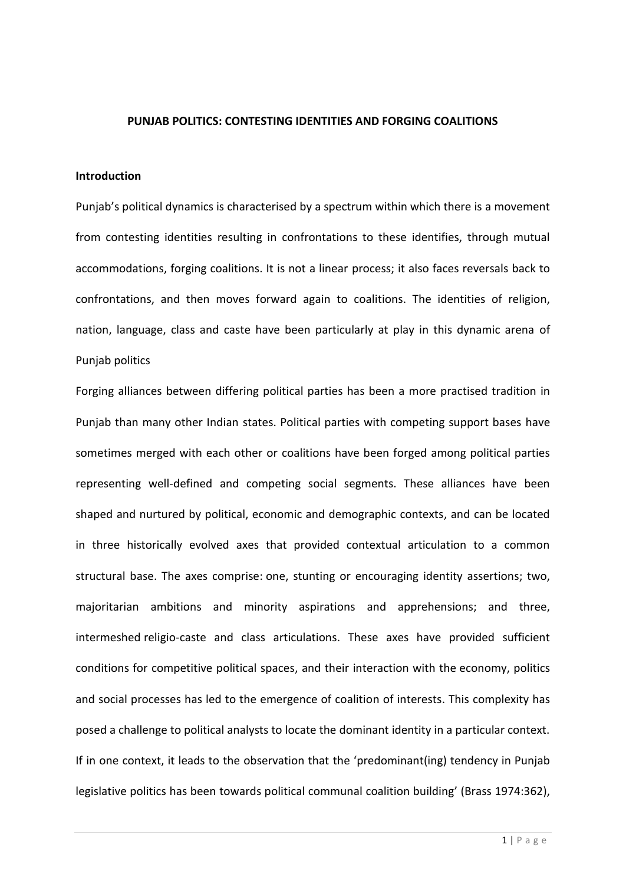## **PUNJAB POLITICS: CONTESTING IDENTITIES AND FORGING COALITIONS**

#### **Introduction**

Punjab's political dynamics is characterised by a spectrum within which there is a movement from contesting identities resulting in confrontations to these identifies, through mutual accommodations, forging coalitions. It is not a linear process; it also faces reversals back to confrontations, and then moves forward again to coalitions. The identities of religion, nation, language, class and caste have been particularly at play in this dynamic arena of Punjab politics

Forging alliances between differing political parties has been a more practised tradition in Punjab than many other Indian states. Political parties with competing support bases have sometimes merged with each other or coalitions have been forged among political parties representing well-defined and competing social segments. These alliances have been shaped and nurtured by political, economic and demographic contexts, and can be located in three historically evolved axes that provided contextual articulation to a common structural base. The axes comprise: one, stunting or encouraging identity assertions; two, majoritarian ambitions and minority aspirations and apprehensions; and three, intermeshed religio-caste and class articulations. These axes have provided sufficient conditions for competitive political spaces, and their interaction with the economy, politics and social processes has led to the emergence of coalition of interests. This complexity has posed a challenge to political analysts to locate the dominant identity in a particular context. If in one context, it leads to the observation that the 'predominant(ing) tendency in Punjab legislative politics has been towards political communal coalition building' (Brass 1974:362),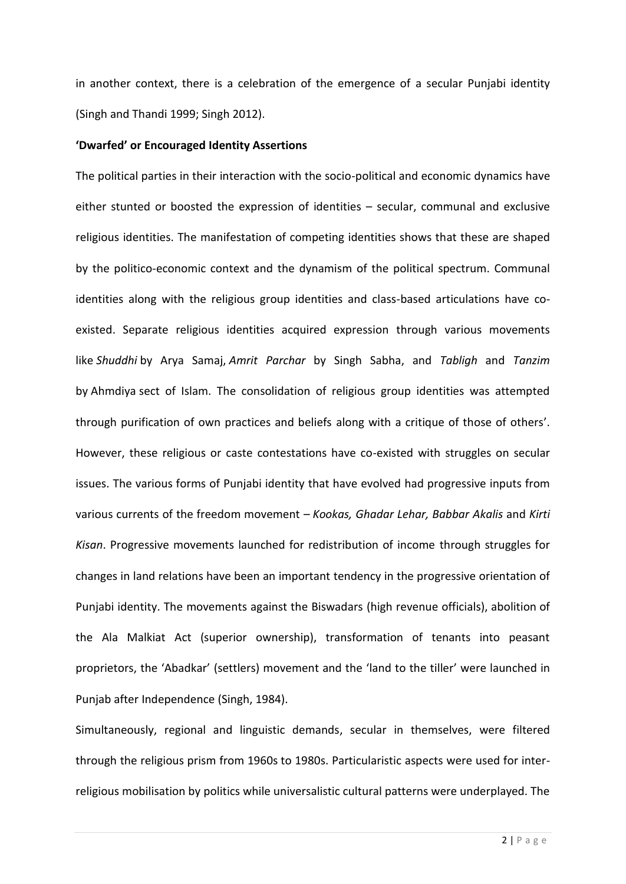in another context, there is a celebration of the emergence of a secular Punjabi identity (Singh and Thandi 1999; Singh 2012).

### **'Dwarfed' or Encouraged Identity Assertions**

The political parties in their interaction with the socio-political and economic dynamics have either stunted or boosted the expression of identities – secular, communal and exclusive religious identities. The manifestation of competing identities shows that these are shaped by the politico-economic context and the dynamism of the political spectrum. Communal identities along with the religious group identities and class-based articulations have coexisted. Separate religious identities acquired expression through various movements like *Shuddhi* by Arya Samaj, *Amrit Parchar* by Singh Sabha, and *Tabligh* and *Tanzim* by Ahmdiya sect of Islam. The consolidation of religious group identities was attempted through purification of own practices and beliefs along with a critique of those of others'. However, these religious or caste contestations have co-existed with struggles on secular issues. The various forms of Punjabi identity that have evolved had progressive inputs from various currents of the freedom movement – *Kookas, Ghadar Lehar, Babbar Akalis* and *Kirti Kisan*. Progressive movements launched for redistribution of income through struggles for changes in land relations have been an important tendency in the progressive orientation of Punjabi identity. The movements against the Biswadars (high revenue officials), abolition of the Ala Malkiat Act (superior ownership), transformation of tenants into peasant proprietors, the 'Abadkar' (settlers) movement and the 'land to the tiller' were launched in Punjab after Independence (Singh, 1984).

Simultaneously, regional and linguistic demands, secular in themselves, were filtered through the religious prism from 1960s to 1980s. Particularistic aspects were used for interreligious mobilisation by politics while universalistic cultural patterns were underplayed. The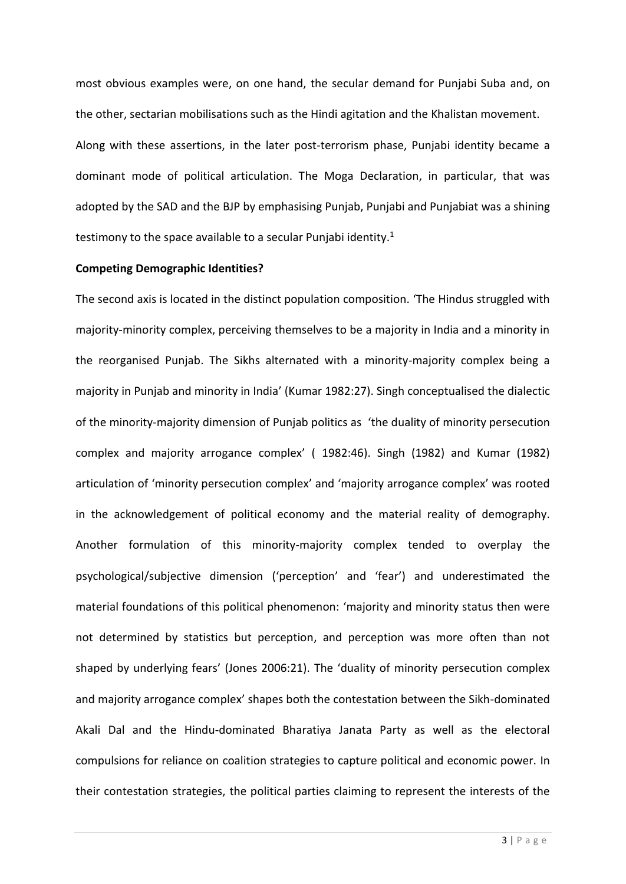most obvious examples were, on one hand, the secular demand for Punjabi Suba and, on the other, sectarian mobilisations such as the Hindi agitation and the Khalistan movement. Along with these assertions, in the later post-terrorism phase, Punjabi identity became a dominant mode of political articulation. The Moga Declaration, in particular, that was adopted by the SAD and the BJP by emphasising Punjab, Punjabi and Punjabiat was a shining testimony to the space available to a secular Punjabi identity.<sup>1</sup>

#### **Competing Demographic Identities?**

The second axis is located in the distinct population composition. 'The Hindus struggled with majority-minority complex, perceiving themselves to be a majority in India and a minority in the reorganised Punjab. The Sikhs alternated with a minority-majority complex being a majority in Punjab and minority in India' (Kumar 1982:27). Singh conceptualised the dialectic of the minority-majority dimension of Punjab politics as 'the duality of minority persecution complex and majority arrogance complex' ( 1982:46). Singh (1982) and Kumar (1982) articulation of 'minority persecution complex' and 'majority arrogance complex' was rooted in the acknowledgement of political economy and the material reality of demography. Another formulation of this minority-majority complex tended to overplay the psychological/subjective dimension ('perception' and 'fear') and underestimated the material foundations of this political phenomenon: 'majority and minority status then were not determined by statistics but perception, and perception was more often than not shaped by underlying fears' (Jones 2006:21). The 'duality of minority persecution complex and majority arrogance complex' shapes both the contestation between the Sikh-dominated Akali Dal and the Hindu-dominated Bharatiya Janata Party as well as the electoral compulsions for reliance on coalition strategies to capture political and economic power. In their contestation strategies, the political parties claiming to represent the interests of the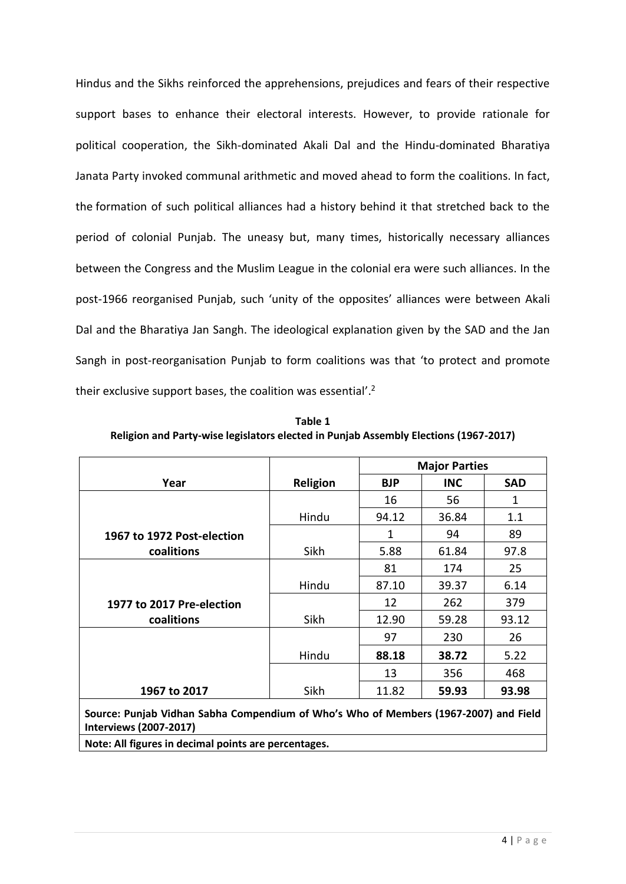Hindus and the Sikhs reinforced the apprehensions, prejudices and fears of their respective support bases to enhance their electoral interests. However, to provide rationale for political cooperation, the Sikh-dominated Akali Dal and the Hindu-dominated Bharatiya Janata Party invoked communal arithmetic and moved ahead to form the coalitions. In fact, the formation of such political alliances had a history behind it that stretched back to the period of colonial Punjab. The uneasy but, many times, historically necessary alliances between the Congress and the Muslim League in the colonial era were such alliances. In the post-1966 reorganised Punjab, such 'unity of the opposites' alliances were between Akali Dal and the Bharatiya Jan Sangh. The ideological explanation given by the SAD and the Jan Sangh in post-reorganisation Punjab to form coalitions was that 'to protect and promote their exclusive support bases, the coalition was essential'.<sup>2</sup>

**Table 1 Religion and Party-wise legislators elected in Punjab Assembly Elections (1967-2017)**

|                                                                                                                       |          | <b>Major Parties</b> |            |            |  |
|-----------------------------------------------------------------------------------------------------------------------|----------|----------------------|------------|------------|--|
| Year                                                                                                                  | Religion | <b>BJP</b>           | <b>INC</b> | <b>SAD</b> |  |
|                                                                                                                       |          | 16                   | 56         | 1          |  |
|                                                                                                                       | Hindu    | 94.12                | 36.84      | 1.1        |  |
| 1967 to 1972 Post-election                                                                                            |          | 1                    | 94         | 89         |  |
| coalitions                                                                                                            | Sikh     | 5.88                 | 61.84      | 97.8       |  |
|                                                                                                                       |          | 81                   | 174        | 25         |  |
|                                                                                                                       | Hindu    | 87.10                | 39.37      | 6.14       |  |
| 1977 to 2017 Pre-election                                                                                             |          | 12                   | 262        | 379        |  |
| coalitions                                                                                                            | Sikh     | 12.90                | 59.28      | 93.12      |  |
|                                                                                                                       |          | 97                   | 230        | 26         |  |
|                                                                                                                       | Hindu    | 88.18                | 38.72      | 5.22       |  |
|                                                                                                                       |          | 13                   | 356        | 468        |  |
| 1967 to 2017                                                                                                          | Sikh     | 11.82                | 59.93      | 93.98      |  |
| Source: Punjab Vidhan Sabha Compendium of Who's Who of Members (1967-2007) and Field<br><b>Interviews (2007-2017)</b> |          |                      |            |            |  |
| Note: All figures in decimal points are percentages.                                                                  |          |                      |            |            |  |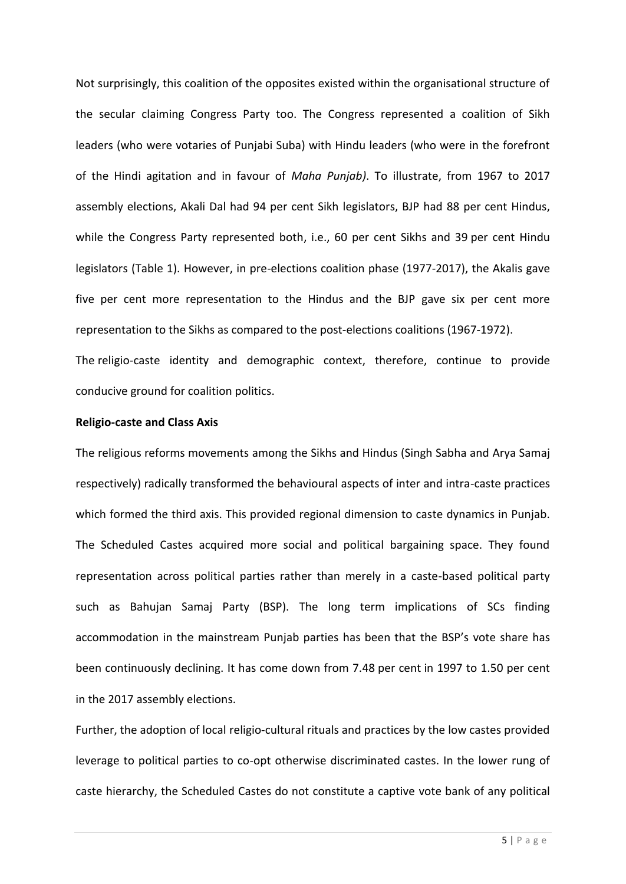Not surprisingly, this coalition of the opposites existed within the organisational structure of the secular claiming Congress Party too. The Congress represented a coalition of Sikh leaders (who were votaries of Punjabi Suba) with Hindu leaders (who were in the forefront of the Hindi agitation and in favour of *Maha Punjab)*. To illustrate, from 1967 to 2017 assembly elections, Akali Dal had 94 per cent Sikh legislators, BJP had 88 per cent Hindus, while the Congress Party represented both, i.e., 60 per cent Sikhs and 39 per cent Hindu legislators (Table 1). However, in pre-elections coalition phase (1977-2017), the Akalis gave five per cent more representation to the Hindus and the BJP gave six per cent more representation to the Sikhs as compared to the post-elections coalitions (1967-1972).

The religio-caste identity and demographic context, therefore, continue to provide conducive ground for coalition politics.

# **Religio-caste and Class Axis**

The religious reforms movements among the Sikhs and Hindus (Singh Sabha and Arya Samaj respectively) radically transformed the behavioural aspects of inter and intra-caste practices which formed the third axis. This provided regional dimension to caste dynamics in Punjab. The Scheduled Castes acquired more social and political bargaining space. They found representation across political parties rather than merely in a caste-based political party such as Bahujan Samaj Party (BSP). The long term implications of SCs finding accommodation in the mainstream Punjab parties has been that the BSP's vote share has been continuously declining. It has come down from 7.48 per cent in 1997 to 1.50 per cent in the 2017 assembly elections.

Further, the adoption of local religio-cultural rituals and practices by the low castes provided leverage to political parties to co-opt otherwise discriminated castes. In the lower rung of caste hierarchy, the Scheduled Castes do not constitute a captive vote bank of any political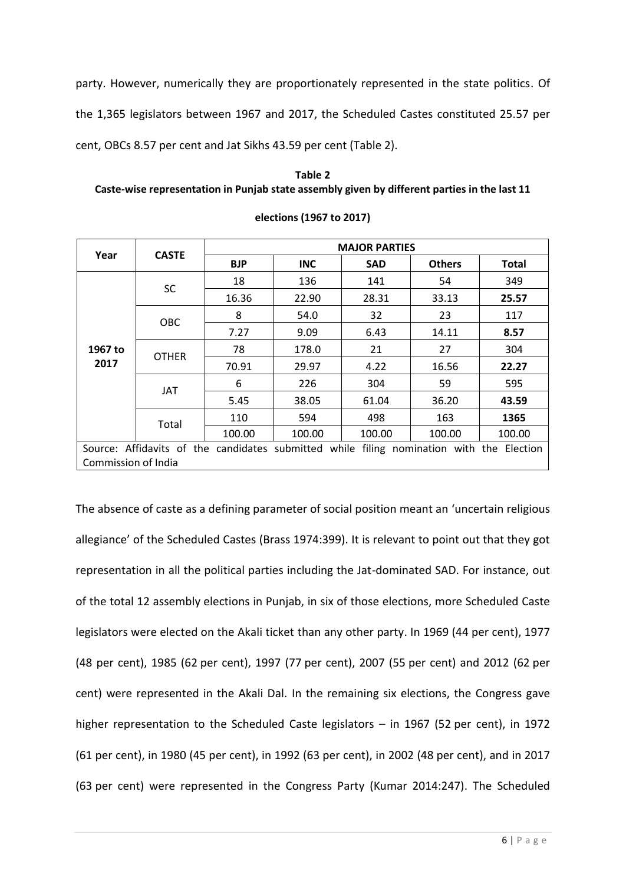party. However, numerically they are proportionately represented in the state politics. Of the 1,365 legislators between 1967 and 2017, the Scheduled Castes constituted 25.57 per cent, OBCs 8.57 per cent and Jat Sikhs 43.59 per cent (Table 2).

**Table 2 Caste-wise representation in Punjab state assembly given by different parties in the last 11** 

| Year                                                                                     | <b>CASTE</b> | <b>MAJOR PARTIES</b> |            |            |               |                         |  |
|------------------------------------------------------------------------------------------|--------------|----------------------|------------|------------|---------------|-------------------------|--|
|                                                                                          |              | <b>BJP</b>           | <b>INC</b> | <b>SAD</b> | <b>Others</b> | <b>Total</b>            |  |
|                                                                                          | <b>SC</b>    | 18                   | 136        | 141        | 54            | 349                     |  |
|                                                                                          |              | 16.36                | 22.90      | 28.31      | 33.13         | 25.57                   |  |
| 1967 to<br>2017                                                                          | OBC          | 8                    | 54.0       | 32         | 23            | 117                     |  |
|                                                                                          |              | 7.27                 | 9.09       | 6.43       | 14.11         | 8.57                    |  |
|                                                                                          | <b>OTHER</b> | 78                   | 178.0      | 21         | 27            | 304                     |  |
|                                                                                          |              | 70.91                | 29.97      | 4.22       | 16.56         | 22.27                   |  |
|                                                                                          | <b>JAT</b>   | 6                    | 226        | 304        | 59            | 595                     |  |
|                                                                                          |              | 5.45                 | 38.05      | 61.04      | 36.20         | 43.59<br>1365<br>100.00 |  |
|                                                                                          | Total        | 110                  | 594        | 498        | 163           |                         |  |
|                                                                                          |              | 100.00               | 100.00     | 100.00     | 100.00        |                         |  |
| Source: Affidavits of the candidates submitted while filing nomination with the Election |              |                      |            |            |               |                         |  |
| Commission of India                                                                      |              |                      |            |            |               |                         |  |

**elections (1967 to 2017)**

The absence of caste as a defining parameter of social position meant an 'uncertain religious allegiance' of the Scheduled Castes (Brass 1974:399). It is relevant to point out that they got representation in all the political parties including the Jat-dominated SAD. For instance, out of the total 12 assembly elections in Punjab, in six of those elections, more Scheduled Caste legislators were elected on the Akali ticket than any other party. In 1969 (44 per cent), 1977 (48 per cent), 1985 (62 per cent), 1997 (77 per cent), 2007 (55 per cent) and 2012 (62 per cent) were represented in the Akali Dal. In the remaining six elections, the Congress gave higher representation to the Scheduled Caste legislators – in 1967 (52 per cent), in 1972 (61 per cent), in 1980 (45 per cent), in 1992 (63 per cent), in 2002 (48 per cent), and in 2017 (63 per cent) were represented in the Congress Party (Kumar 2014:247). The Scheduled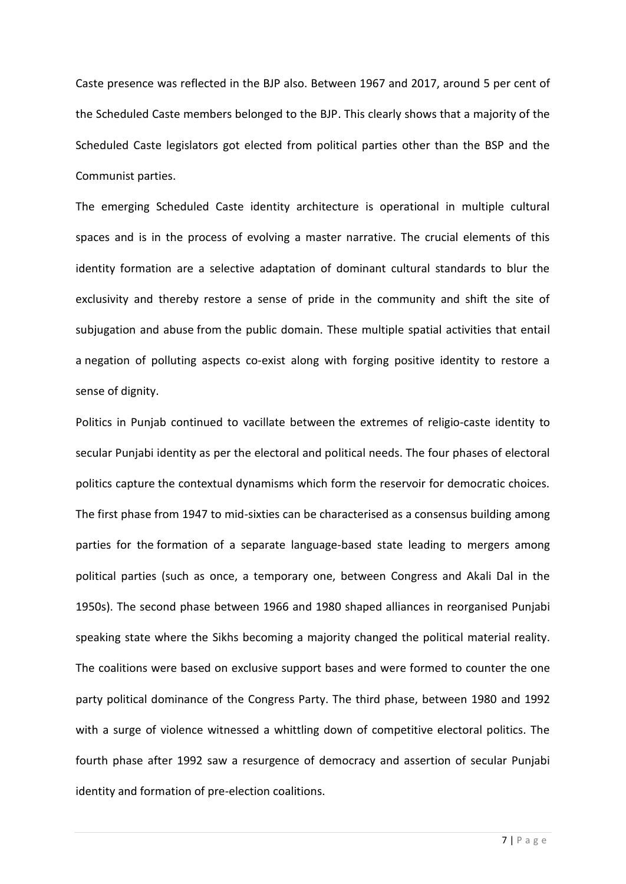Caste presence was reflected in the BJP also. Between 1967 and 2017, around 5 per cent of the Scheduled Caste members belonged to the BJP. This clearly shows that a majority of the Scheduled Caste legislators got elected from political parties other than the BSP and the Communist parties.

The emerging Scheduled Caste identity architecture is operational in multiple cultural spaces and is in the process of evolving a master narrative. The crucial elements of this identity formation are a selective adaptation of dominant cultural standards to blur the exclusivity and thereby restore a sense of pride in the community and shift the site of subjugation and abuse from the public domain. These multiple spatial activities that entail a negation of polluting aspects co-exist along with forging positive identity to restore a sense of dignity.

Politics in Punjab continued to vacillate between the extremes of religio-caste identity to secular Punjabi identity as per the electoral and political needs. The four phases of electoral politics capture the contextual dynamisms which form the reservoir for democratic choices. The first phase from 1947 to mid-sixties can be characterised as a consensus building among parties for the formation of a separate language-based state leading to mergers among political parties (such as once, a temporary one, between Congress and Akali Dal in the 1950s). The second phase between 1966 and 1980 shaped alliances in reorganised Punjabi speaking state where the Sikhs becoming a majority changed the political material reality. The coalitions were based on exclusive support bases and were formed to counter the one party political dominance of the Congress Party. The third phase, between 1980 and 1992 with a surge of violence witnessed a whittling down of competitive electoral politics. The fourth phase after 1992 saw a resurgence of democracy and assertion of secular Punjabi identity and formation of pre-election coalitions.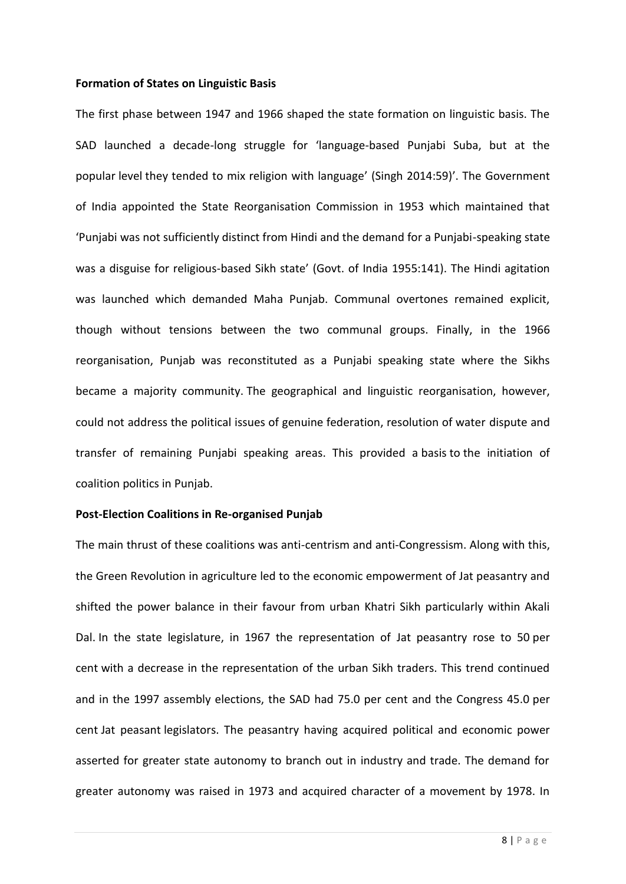### **Formation of States on Linguistic Basis**

The first phase between 1947 and 1966 shaped the state formation on linguistic basis. The SAD launched a decade-long struggle for 'language-based Punjabi Suba, but at the popular level they tended to mix religion with language' (Singh 2014:59)'. The Government of India appointed the State Reorganisation Commission in 1953 which maintained that 'Punjabi was not sufficiently distinct from Hindi and the demand for a Punjabi-speaking state was a disguise for religious-based Sikh state' (Govt. of India 1955:141). The Hindi agitation was launched which demanded Maha Punjab. Communal overtones remained explicit, though without tensions between the two communal groups. Finally, in the 1966 reorganisation, Punjab was reconstituted as a Punjabi speaking state where the Sikhs became a majority community. The geographical and linguistic reorganisation, however, could not address the political issues of genuine federation, resolution of water dispute and transfer of remaining Punjabi speaking areas. This provided a basis to the initiation of coalition politics in Punjab.

# **Post-Election Coalitions in Re-organised Punjab**

The main thrust of these coalitions was anti-centrism and anti-Congressism. Along with this, the Green Revolution in agriculture led to the economic empowerment of Jat peasantry and shifted the power balance in their favour from urban Khatri Sikh particularly within Akali Dal. In the state legislature, in 1967 the representation of Jat peasantry rose to 50 per cent with a decrease in the representation of the urban Sikh traders. This trend continued and in the 1997 assembly elections, the SAD had 75.0 per cent and the Congress 45.0 per cent Jat peasant legislators. The peasantry having acquired political and economic power asserted for greater state autonomy to branch out in industry and trade. The demand for greater autonomy was raised in 1973 and acquired character of a movement by 1978. In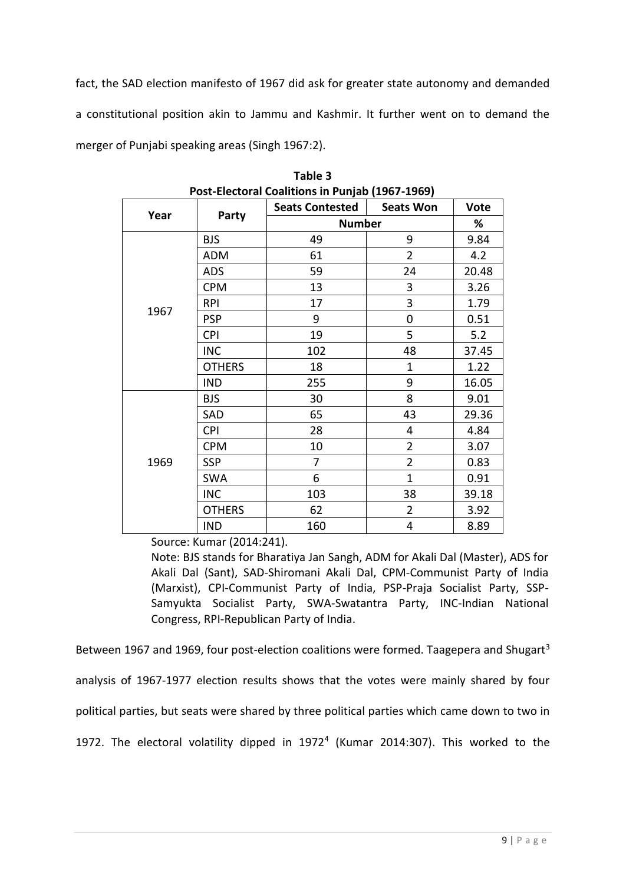fact, the SAD election manifesto of 1967 did ask for greater state autonomy and demanded a constitutional position akin to Jammu and Kashmir. It further went on to demand the merger of Punjabi speaking areas (Singh 1967:2).

| Year |               | <b>Seats Contested</b> | <b>Seats Won</b> | <b>Vote</b> |
|------|---------------|------------------------|------------------|-------------|
|      | Party         | <b>Number</b>          | %                |             |
|      | <b>BJS</b>    | 49                     | 9                | 9.84        |
|      | ADM           | 61                     | $\overline{2}$   | 4.2         |
|      | <b>ADS</b>    | 59                     | 24               | 20.48       |
|      | <b>CPM</b>    | 13                     | 3                | 3.26        |
| 1967 | <b>RPI</b>    | 17                     | 3                | 1.79        |
|      | <b>PSP</b>    | 9                      | 0                | 0.51        |
|      | <b>CPI</b>    | 19                     | 5                | 5.2         |
|      | <b>INC</b>    | 102                    | 48               | 37.45       |
|      | <b>OTHERS</b> | 18                     | $\mathbf{1}$     | 1.22        |
|      | <b>IND</b>    | 255                    | 9                | 16.05       |
| 1969 | <b>BJS</b>    | 30                     | 8                | 9.01        |
|      | SAD           | 65                     | 43               | 29.36       |
|      | <b>CPI</b>    | 28                     | 4                | 4.84        |
|      | <b>CPM</b>    | 10                     | $\overline{2}$   | 3.07        |
|      | <b>SSP</b>    | 7                      | $\overline{2}$   | 0.83        |
|      | <b>SWA</b>    | 6                      | $\mathbf{1}$     | 0.91        |
|      | <b>INC</b>    | 103                    | 38               | 39.18       |
|      | <b>OTHERS</b> | 62                     | $\overline{2}$   | 3.92        |
|      | <b>IND</b>    | 160                    | 4                | 8.89        |

**Table 3 Post-Electoral Coalitions in Punjab (1967-1969)**

Source: Kumar (2014:241).

Note: BJS stands for Bharatiya Jan Sangh, ADM for Akali Dal (Master), ADS for Akali Dal (Sant), SAD-Shiromani Akali Dal, CPM-Communist Party of India (Marxist), CPI-Communist Party of India, PSP-Praja Socialist Party, SSP-Samyukta Socialist Party, SWA-Swatantra Party, INC-Indian National Congress, RPI-Republican Party of India.

Between 1967 and 1969, four post-election coalitions were formed. Taagepera and Shugart<sup>3</sup> analysis of 1967-1977 election results shows that the votes were mainly shared by four political parties, but seats were shared by three political parties which came down to two in 1972. The electoral volatility dipped in 1972<sup>4</sup> (Kumar 2014:307). This worked to the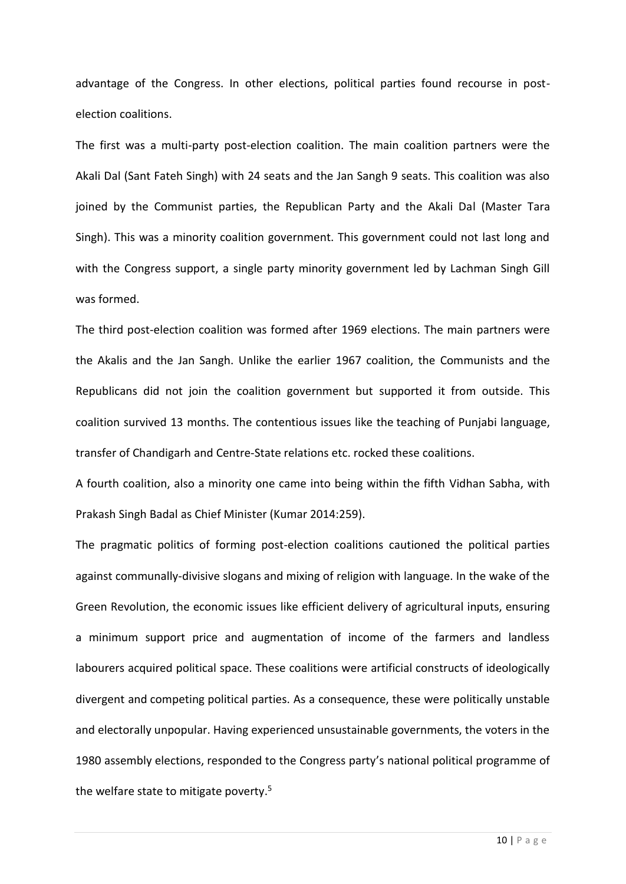advantage of the Congress. In other elections, political parties found recourse in postelection coalitions.

The first was a multi-party post-election coalition. The main coalition partners were the Akali Dal (Sant Fateh Singh) with 24 seats and the Jan Sangh 9 seats. This coalition was also joined by the Communist parties, the Republican Party and the Akali Dal (Master Tara Singh). This was a minority coalition government. This government could not last long and with the Congress support, a single party minority government led by Lachman Singh Gill was formed.

The third post-election coalition was formed after 1969 elections. The main partners were the Akalis and the Jan Sangh. Unlike the earlier 1967 coalition, the Communists and the Republicans did not join the coalition government but supported it from outside. This coalition survived 13 months. The contentious issues like the teaching of Punjabi language, transfer of Chandigarh and Centre-State relations etc. rocked these coalitions.

A fourth coalition, also a minority one came into being within the fifth Vidhan Sabha, with Prakash Singh Badal as Chief Minister (Kumar 2014:259).

The pragmatic politics of forming post-election coalitions cautioned the political parties against communally-divisive slogans and mixing of religion with language. In the wake of the Green Revolution, the economic issues like efficient delivery of agricultural inputs, ensuring a minimum support price and augmentation of income of the farmers and landless labourers acquired political space. These coalitions were artificial constructs of ideologically divergent and competing political parties. As a consequence, these were politically unstable and electorally unpopular. Having experienced unsustainable governments, the voters in the 1980 assembly elections, responded to the Congress party's national political programme of the welfare state to mitigate poverty. 5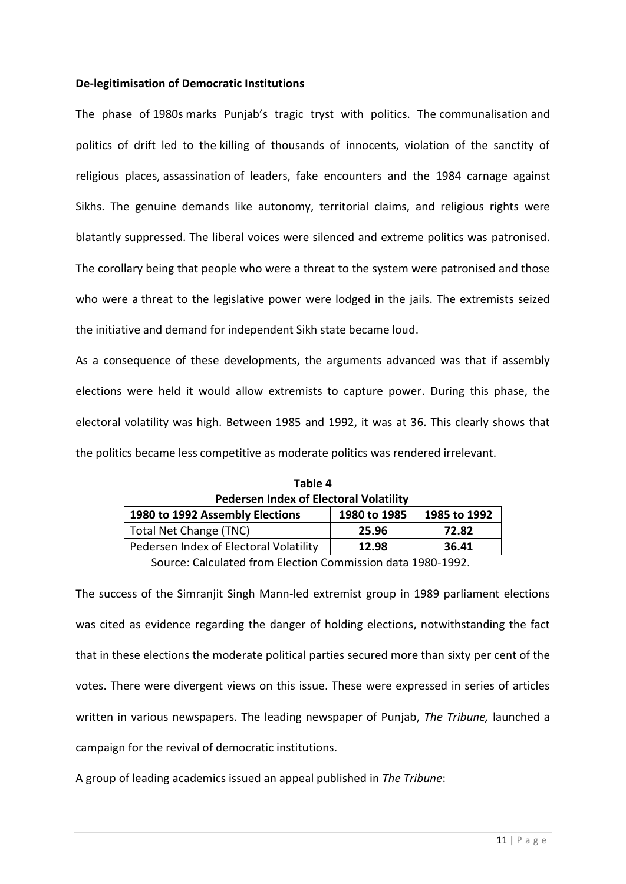# **De-legitimisation of Democratic Institutions**

The phase of 1980s marks Punjab's tragic tryst with politics. The communalisation and politics of drift led to the killing of thousands of innocents, violation of the sanctity of religious places, assassination of leaders, fake encounters and the 1984 carnage against Sikhs. The genuine demands like autonomy, territorial claims, and religious rights were blatantly suppressed. The liberal voices were silenced and extreme politics was patronised. The corollary being that people who were a threat to the system were patronised and those who were a threat to the legislative power were lodged in the jails. The extremists seized the initiative and demand for independent Sikh state became loud.

As a consequence of these developments, the arguments advanced was that if assembly elections were held it would allow extremists to capture power. During this phase, the electoral volatility was high. Between 1985 and 1992, it was at 36. This clearly shows that the politics became less competitive as moderate politics was rendered irrelevant.

| Pedersen Index of Electoral Volatility                          |       |       |  |  |  |
|-----------------------------------------------------------------|-------|-------|--|--|--|
| 1980 to 1992 Assembly Elections<br>1980 to 1985<br>1985 to 1992 |       |       |  |  |  |
| Total Net Change (TNC)                                          | 25.96 | 72.82 |  |  |  |
| Pedersen Index of Electoral Volatility                          | 12.98 | 36.41 |  |  |  |
|                                                                 |       |       |  |  |  |

| Table 4 |                                               |
|---------|-----------------------------------------------|
|         | <b>Pedersen Index of Electoral Volatility</b> |
|         |                                               |

Source: Calculated from Election Commission data 1980-1992.

The success of the Simranjit Singh Mann-led extremist group in 1989 parliament elections was cited as evidence regarding the danger of holding elections, notwithstanding the fact that in these elections the moderate political parties secured more than sixty per cent of the votes. There were divergent views on this issue. These were expressed in series of articles written in various newspapers. The leading newspaper of Punjab, *The Tribune,* launched a campaign for the revival of democratic institutions.

A group of leading academics issued an appeal published in *The Tribune*: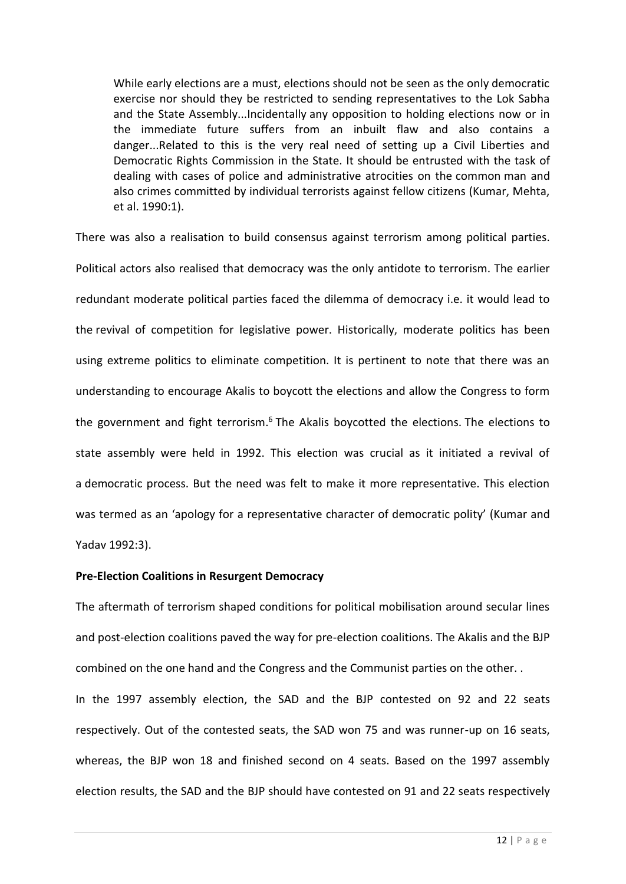While early elections are a must, elections should not be seen as the only democratic exercise nor should they be restricted to sending representatives to the Lok Sabha and the State Assembly...Incidentally any opposition to holding elections now or in the immediate future suffers from an inbuilt flaw and also contains a danger...Related to this is the very real need of setting up a Civil Liberties and Democratic Rights Commission in the State. It should be entrusted with the task of dealing with cases of police and administrative atrocities on the common man and also crimes committed by individual terrorists against fellow citizens (Kumar, Mehta, et al. 1990:1).

There was also a realisation to build consensus against terrorism among political parties. Political actors also realised that democracy was the only antidote to terrorism. The earlier redundant moderate political parties faced the dilemma of democracy i.e. it would lead to the revival of competition for legislative power. Historically, moderate politics has been using extreme politics to eliminate competition. It is pertinent to note that there was an understanding to encourage Akalis to boycott the elections and allow the Congress to form the government and fight terrorism.<sup>6</sup> The Akalis boycotted the elections. The elections to state assembly were held in 1992. This election was crucial as it initiated a revival of a democratic process. But the need was felt to make it more representative. This election was termed as an 'apology for a representative character of democratic polity' (Kumar and Yadav 1992:3).

# **Pre-Election Coalitions in Resurgent Democracy**

The aftermath of terrorism shaped conditions for political mobilisation around secular lines and post-election coalitions paved the way for pre-election coalitions. The Akalis and the BJP combined on the one hand and the Congress and the Communist parties on the other. .

In the 1997 assembly election, the SAD and the BJP contested on 92 and 22 seats respectively. Out of the contested seats, the SAD won 75 and was runner-up on 16 seats, whereas, the BJP won 18 and finished second on 4 seats. Based on the 1997 assembly election results, the SAD and the BJP should have contested on 91 and 22 seats respectively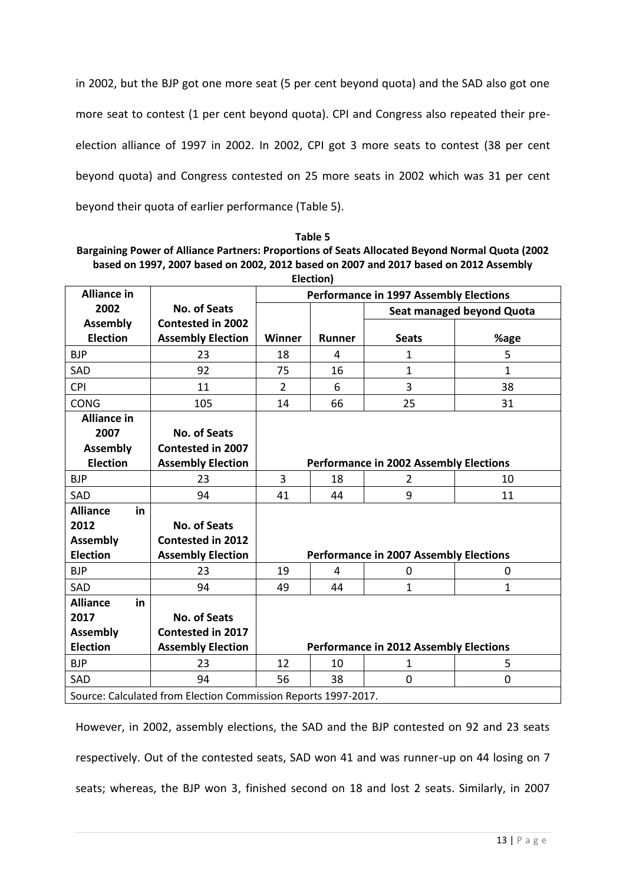in 2002, but the BJP got one more seat (5 per cent beyond quota) and the SAD also got one more seat to contest (1 per cent beyond quota). CPI and Congress also repeated their preelection alliance of 1997 in 2002. In 2002, CPI got 3 more seats to contest (38 per cent beyond quota) and Congress contested on 25 more seats in 2002 which was 31 per cent beyond their quota of earlier performance (Table 5).

| Table 5                                                                                          |
|--------------------------------------------------------------------------------------------------|
| Bargaining Power of Alliance Partners: Proportions of Seats Allocated Beyond Normal Quota (2002) |
| based on 1997, 2007 based on 2002, 2012 based on 2007 and 2017 based on 2012 Assembly            |
| <b>Flection</b>                                                                                  |

|                                                                |                          |                                               | LICCUOII,     |              |              |
|----------------------------------------------------------------|--------------------------|-----------------------------------------------|---------------|--------------|--------------|
| <b>Alliance in</b>                                             |                          | <b>Performance in 1997 Assembly Elections</b> |               |              |              |
| 2002                                                           | <b>No. of Seats</b>      | Seat managed beyond Quota                     |               |              |              |
| <b>Assembly</b>                                                | <b>Contested in 2002</b> |                                               |               |              |              |
| <b>Election</b>                                                | <b>Assembly Election</b> | <b>Winner</b>                                 | <b>Runner</b> | <b>Seats</b> | %age         |
| <b>BJP</b>                                                     | 23                       | 18                                            | 4             | $\mathbf{1}$ | 5            |
| <b>SAD</b>                                                     | 92                       | 75                                            | 16            | $\mathbf{1}$ | $\mathbf{1}$ |
| <b>CPI</b>                                                     | 11                       | $\overline{2}$                                | 6             | 3            | 38           |
| <b>CONG</b>                                                    | 105                      | 14                                            | 66            | 25           | 31           |
| <b>Alliance in</b>                                             |                          |                                               |               |              |              |
| 2007                                                           | <b>No. of Seats</b>      |                                               |               |              |              |
| <b>Assembly</b>                                                | Contested in 2007        |                                               |               |              |              |
| <b>Election</b>                                                | <b>Assembly Election</b> | <b>Performance in 2002 Assembly Elections</b> |               |              |              |
| <b>BJP</b>                                                     | 23                       | 3                                             | 18            | 2            | 10           |
| SAD                                                            | 94                       | 41                                            | 44            | 9            | 11           |
| <b>Alliance</b><br>in                                          |                          |                                               |               |              |              |
| 2012                                                           | <b>No. of Seats</b>      |                                               |               |              |              |
| <b>Assembly</b>                                                | <b>Contested in 2012</b> |                                               |               |              |              |
| <b>Election</b>                                                | <b>Assembly Election</b> | <b>Performance in 2007 Assembly Elections</b> |               |              |              |
| <b>BJP</b>                                                     | 23                       | 19                                            | 4             | $\mathbf 0$  | 0            |
| <b>SAD</b>                                                     | 94                       | 49                                            | 44            | 1            | $\mathbf{1}$ |
| <b>Alliance</b><br>in.                                         |                          |                                               |               |              |              |
| 2017                                                           | No. of Seats             |                                               |               |              |              |
| <b>Assembly</b>                                                | <b>Contested in 2017</b> |                                               |               |              |              |
| <b>Election</b>                                                | <b>Assembly Election</b> | <b>Performance in 2012 Assembly Elections</b> |               |              |              |
| <b>BJP</b>                                                     | 23                       | 12                                            | 10            | $\mathbf{1}$ | 5            |
| <b>SAD</b>                                                     | 94                       | 56                                            | 38            | $\Omega$     | 0            |
| Source: Calculated from Election Commission Reports 1997-2017. |                          |                                               |               |              |              |

However, in 2002, assembly elections, the SAD and the BJP contested on 92 and 23 seats respectively. Out of the contested seats, SAD won 41 and was runner-up on 44 losing on 7 seats; whereas, the BJP won 3, finished second on 18 and lost 2 seats. Similarly, in 2007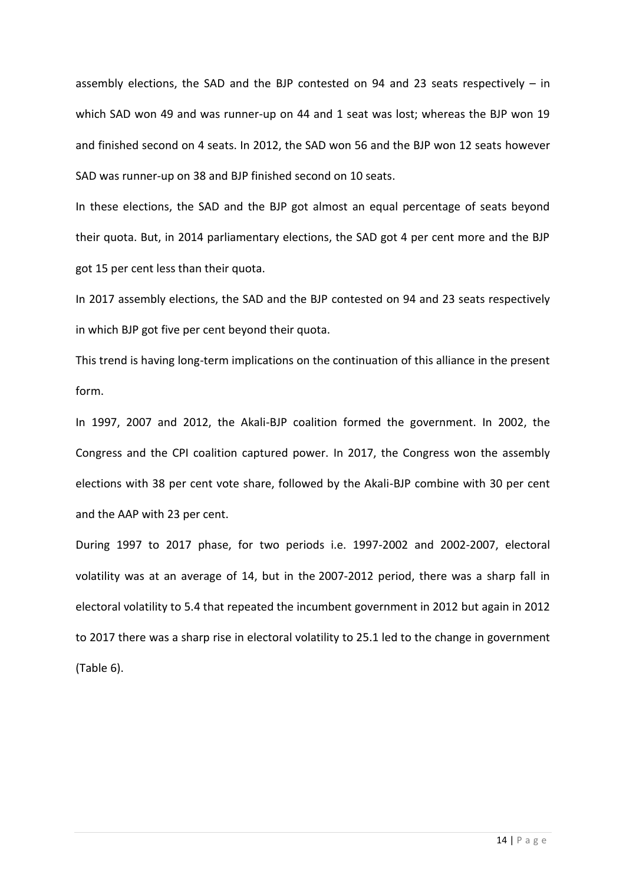assembly elections, the SAD and the BJP contested on 94 and 23 seats respectively  $-$  in which SAD won 49 and was runner-up on 44 and 1 seat was lost; whereas the BJP won 19 and finished second on 4 seats. In 2012, the SAD won 56 and the BJP won 12 seats however SAD was runner-up on 38 and BJP finished second on 10 seats.

In these elections, the SAD and the BJP got almost an equal percentage of seats beyond their quota. But, in 2014 parliamentary elections, the SAD got 4 per cent more and the BJP got 15 per cent less than their quota.

In 2017 assembly elections, the SAD and the BJP contested on 94 and 23 seats respectively in which BJP got five per cent beyond their quota.

This trend is having long-term implications on the continuation of this alliance in the present form.

In 1997, 2007 and 2012, the Akali-BJP coalition formed the government. In 2002, the Congress and the CPI coalition captured power. In 2017, the Congress won the assembly elections with 38 per cent vote share, followed by the Akali-BJP combine with 30 per cent and the AAP with 23 per cent.

During 1997 to 2017 phase, for two periods i.e. 1997-2002 and 2002-2007, electoral volatility was at an average of 14, but in the 2007-2012 period, there was a sharp fall in electoral volatility to 5.4 that repeated the incumbent government in 2012 but again in 2012 to 2017 there was a sharp rise in electoral volatility to 25.1 led to the change in government (Table 6).

14 | P a g e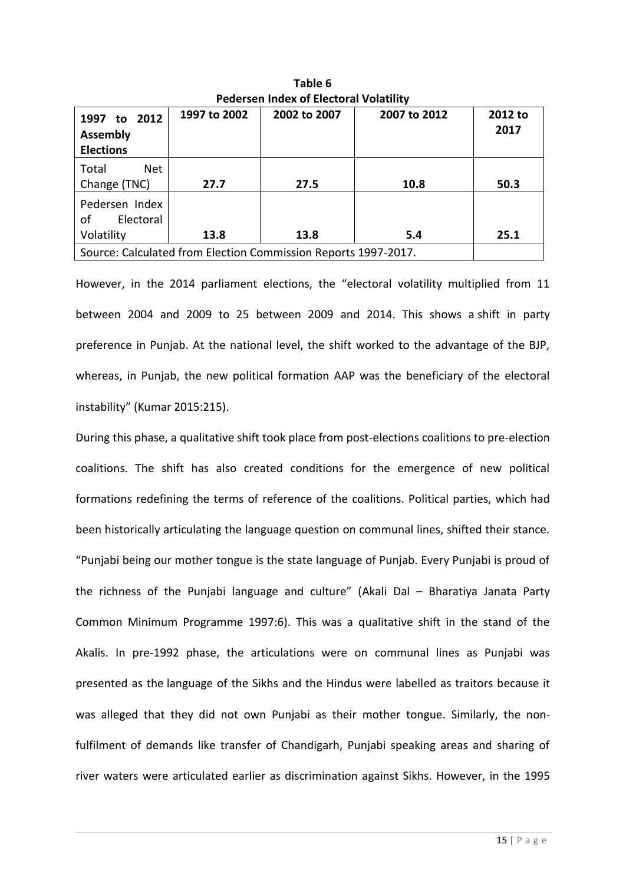|                                                                | ו כשכופכוו והשכא טו בוכננטומו לטומנוונק |              |              |                 |  |  |  |
|----------------------------------------------------------------|-----------------------------------------|--------------|--------------|-----------------|--|--|--|
| 1997 to 2012<br><b>Assembly</b><br><b>Elections</b>            | 1997 to 2002                            | 2002 to 2007 | 2007 to 2012 | 2012 to<br>2017 |  |  |  |
| Total<br><b>Net</b><br>Change (TNC)                            | 27.7                                    | 27.5         | 10.8         | 50.3            |  |  |  |
| Pedersen Index<br>Electoral<br>οf<br>Volatility                | 13.8                                    | 13.8         | 5.4          | 25.1            |  |  |  |
| Source: Calculated from Election Commission Reports 1997-2017. |                                         |              |              |                 |  |  |  |

**Table 6 Pedersen Index of Electoral Volatility**

However, in the 2014 parliament elections, the "electoral volatility multiplied from 11 between 2004 and 2009 to 25 between 2009 and 2014. This shows a shift in party preference in Punjab. At the national level, the shift worked to the advantage of the BJP, whereas, in Punjab, the new political formation AAP was the beneficiary of the electoral instability" (Kumar 2015:215).

During this phase, a qualitative shift took place from post-elections coalitions to pre-election coalitions. The shift has also created conditions for the emergence of new political formations redefining the terms of reference of the coalitions. Political parties, which had been historically articulating the language question on communal lines, shifted their stance. "Punjabi being our mother tongue is the state language of Punjab. Every Punjabi is proud of the richness of the Punjabi language and culture" (Akali Dal – Bharatiya Janata Party Common Minimum Programme 1997:6). This was a qualitative shift in the stand of the Akalis. In pre-1992 phase, the articulations were on communal lines as Punjabi was presented as the language of the Sikhs and the Hindus were labelled as traitors because it was alleged that they did not own Punjabi as their mother tongue. Similarly, the nonfulfilment of demands like transfer of Chandigarh, Punjabi speaking areas and sharing of river waters were articulated earlier as discrimination against Sikhs. However, in the 1995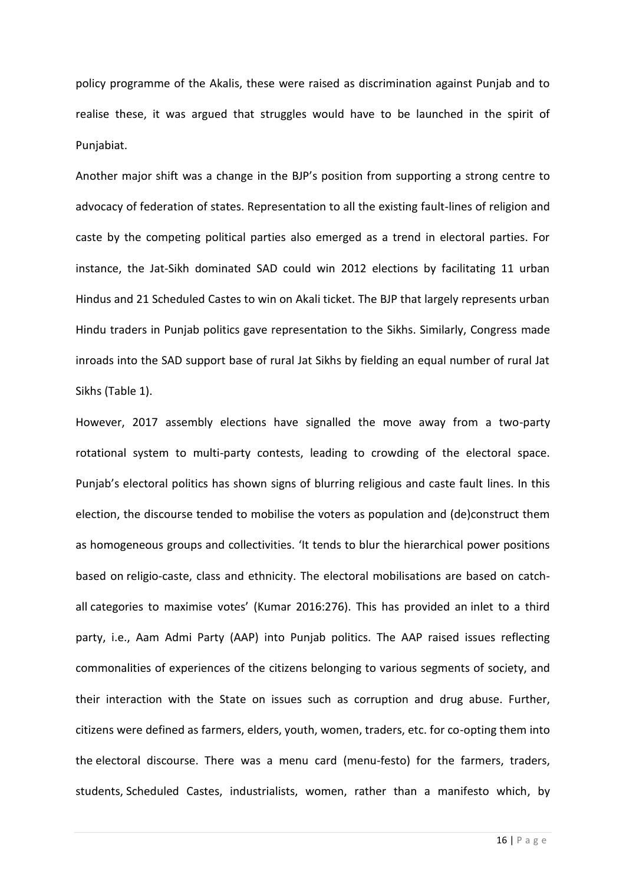policy programme of the Akalis, these were raised as discrimination against Punjab and to realise these, it was argued that struggles would have to be launched in the spirit of Punjabiat.

Another major shift was a change in the BJP's position from supporting a strong centre to advocacy of federation of states. Representation to all the existing fault-lines of religion and caste by the competing political parties also emerged as a trend in electoral parties. For instance, the Jat-Sikh dominated SAD could win 2012 elections by facilitating 11 urban Hindus and 21 Scheduled Castes to win on Akali ticket. The BJP that largely represents urban Hindu traders in Punjab politics gave representation to the Sikhs. Similarly, Congress made inroads into the SAD support base of rural Jat Sikhs by fielding an equal number of rural Jat Sikhs (Table 1).

However, 2017 assembly elections have signalled the move away from a two-party rotational system to multi-party contests, leading to crowding of the electoral space. Punjab's electoral politics has shown signs of blurring religious and caste fault lines. In this election, the discourse tended to mobilise the voters as population and (de)construct them as homogeneous groups and collectivities. 'It tends to blur the hierarchical power positions based on religio-caste, class and ethnicity. The electoral mobilisations are based on catchall categories to maximise votes' (Kumar 2016:276). This has provided an inlet to a third party, i.e., Aam Admi Party (AAP) into Punjab politics. The AAP raised issues reflecting commonalities of experiences of the citizens belonging to various segments of society, and their interaction with the State on issues such as corruption and drug abuse. Further, citizens were defined as farmers, elders, youth, women, traders, etc. for co-opting them into the electoral discourse. There was a menu card (menu-festo) for the farmers, traders, students, Scheduled Castes, industrialists, women, rather than a manifesto which, by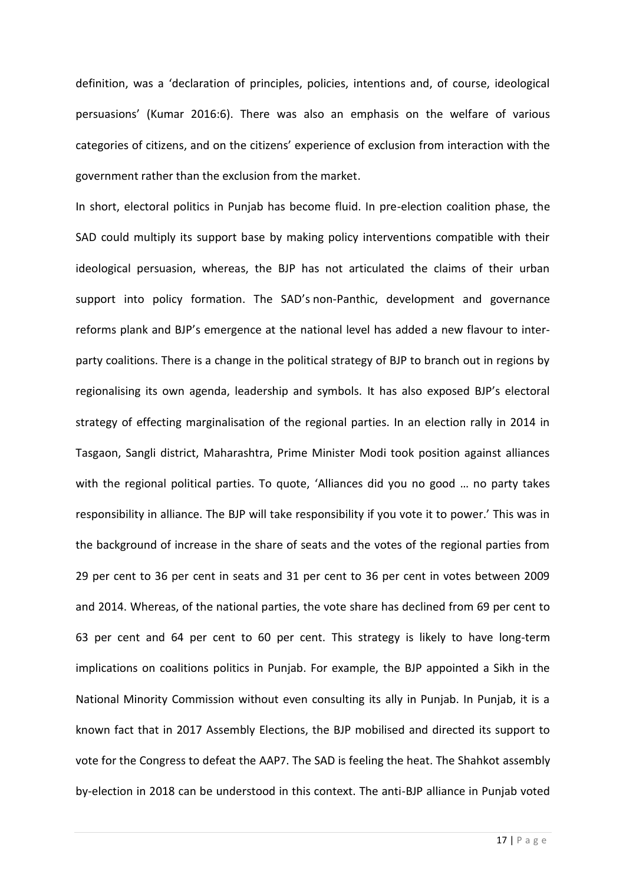definition, was a 'declaration of principles, policies, intentions and, of course, ideological persuasions' (Kumar 2016:6). There was also an emphasis on the welfare of various categories of citizens, and on the citizens' experience of exclusion from interaction with the government rather than the exclusion from the market.

In short, electoral politics in Punjab has become fluid. In pre-election coalition phase, the SAD could multiply its support base by making policy interventions compatible with their ideological persuasion, whereas, the BJP has not articulated the claims of their urban support into policy formation. The SAD's non-Panthic, development and governance reforms plank and BJP's emergence at the national level has added a new flavour to interparty coalitions. There is a change in the political strategy of BJP to branch out in regions by regionalising its own agenda, leadership and symbols. It has also exposed BJP's electoral strategy of effecting marginalisation of the regional parties. In an election rally in 2014 in Tasgaon, Sangli district, Maharashtra, Prime Minister Modi took position against alliances with the regional political parties. To quote, 'Alliances did you no good … no party takes responsibility in alliance. The BJP will take responsibility if you vote it to power.' This was in the background of increase in the share of seats and the votes of the regional parties from 29 per cent to 36 per cent in seats and 31 per cent to 36 per cent in votes between 2009 and 2014. Whereas, of the national parties, the vote share has declined from 69 per cent to 63 per cent and 64 per cent to 60 per cent. This strategy is likely to have long-term implications on coalitions politics in Punjab. For example, the BJP appointed a Sikh in the National Minority Commission without even consulting its ally in Punjab. In Punjab, it is a known fact that in 2017 Assembly Elections, the BJP mobilised and directed its support to vote for the Congress to defeat the AAP7. The SAD is feeling the heat. The Shahkot assembly by-election in 2018 can be understood in this context. The anti-BJP alliance in Punjab voted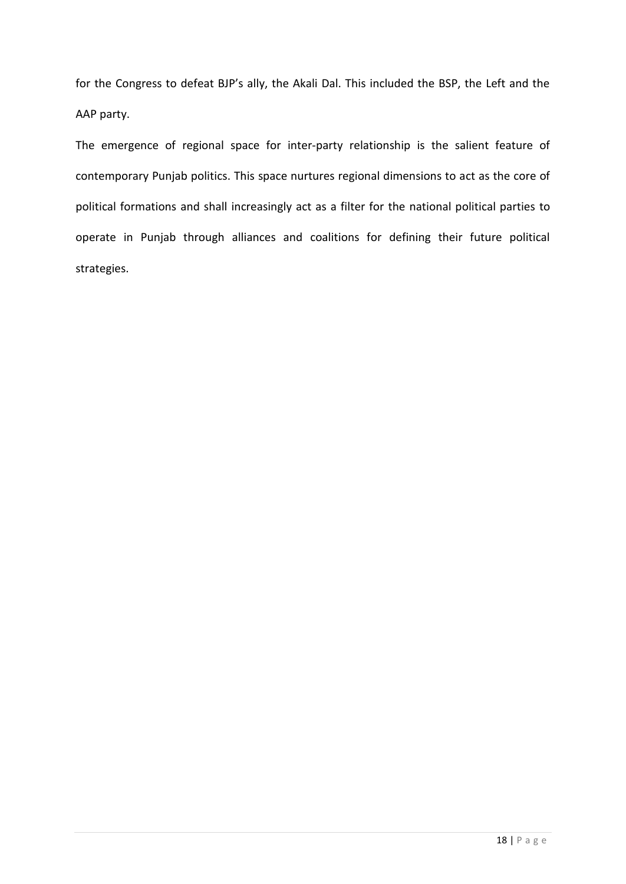for the Congress to defeat BJP's ally, the Akali Dal. This included the BSP, the Left and the AAP party.

The emergence of regional space for inter-party relationship is the salient feature of contemporary Punjab politics. This space nurtures regional dimensions to act as the core of political formations and shall increasingly act as a filter for the national political parties to operate in Punjab through alliances and coalitions for defining their future political strategies.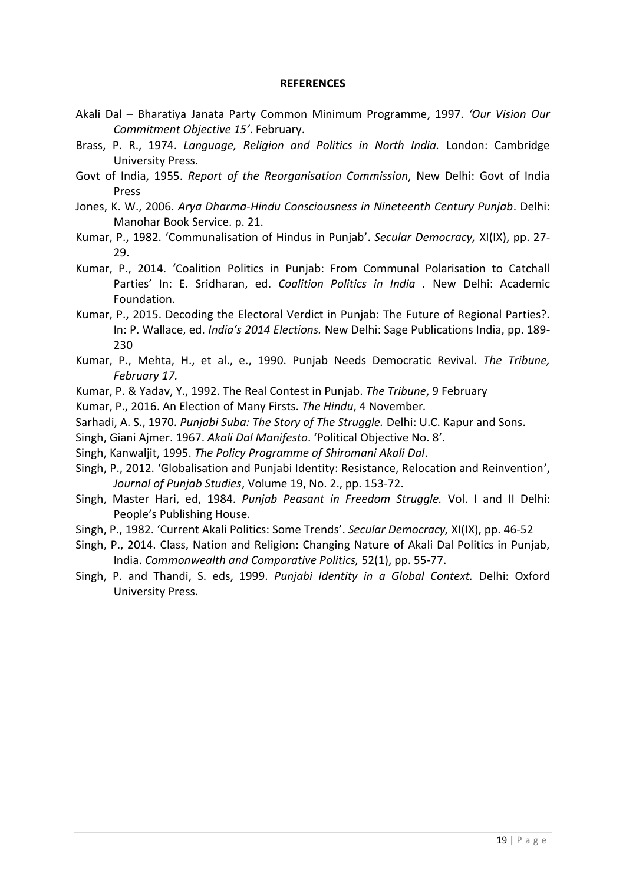### **REFERENCES**

- Akali Dal Bharatiya Janata Party Common Minimum Programme, 1997. *'Our Vision Our Commitment Objective 15'*. February.
- Brass, P. R., 1974. *Language, Religion and Politics in North India.* London: Cambridge University Press.
- Govt of India, 1955. *Report of the Reorganisation Commission*, New Delhi: Govt of India Press
- Jones, K. W., 2006. *Arya Dharma-Hindu Consciousness in Nineteenth Century Punjab*. Delhi: Manohar Book Service. p. 21.
- Kumar, P., 1982. 'Communalisation of Hindus in Punjab'. *Secular Democracy,* XI(IX), pp. 27- 29.
- Kumar, P., 2014. 'Coalition Politics in Punjab: From Communal Polarisation to Catchall Parties' In: E. Sridharan, ed. *Coalition Politics in India .* New Delhi: Academic Foundation.
- Kumar, P., 2015. Decoding the Electoral Verdict in Punjab: The Future of Regional Parties?. In: P. Wallace, ed. *India's 2014 Elections.* New Delhi: Sage Publications India, pp. 189- 230
- Kumar, P., Mehta, H., et al., e., 1990. Punjab Needs Democratic Revival. *The Tribune, February 17.*
- Kumar, P. & Yadav, Y., 1992. The Real Contest in Punjab. *The Tribune*, 9 February

Kumar, P., 2016. An Election of Many Firsts. *The Hindu*, 4 November*.*

- Sarhadi, A. S., 1970. *Punjabi Suba: The Story of The Struggle.* Delhi: U.C. Kapur and Sons.
- Singh, Giani Ajmer. 1967. *Akali Dal Manifesto*. 'Political Objective No. 8'.
- Singh, Kanwaljit, 1995. *The Policy Programme of Shiromani Akali Dal*.
- Singh, P., 2012. 'Globalisation and Punjabi Identity: Resistance, Relocation and Reinvention', *Journal of Punjab Studies*, Volume 19, No. 2., pp. 153-72.
- Singh, Master Hari, ed, 1984. *Punjab Peasant in Freedom Struggle.* Vol. I and II Delhi: People's Publishing House.
- Singh, P., 1982. 'Current Akali Politics: Some Trends'. *Secular Democracy,* XI(IX), pp. 46-52
- Singh, P., 2014. Class, Nation and Religion: Changing Nature of Akali Dal Politics in Punjab, India. *Commonwealth and Comparative Politics,* 52(1), pp. 55-77.
- Singh, P. and Thandi, S. eds, 1999. *Punjabi Identity in a Global Context.* Delhi: Oxford University Press.